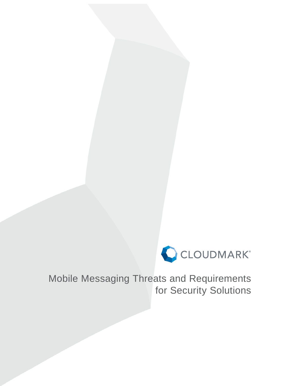

Mobile Messaging Threats and Requirements for Security Solutions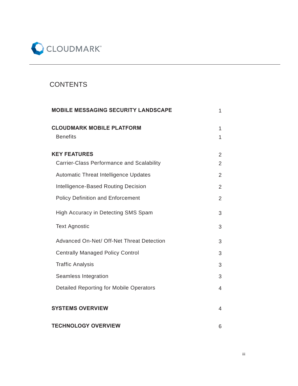

# **CONTENTS**

| <b>MOBILE MESSAGING SECURITY LANDSCAPE</b>          | 1                   |
|-----------------------------------------------------|---------------------|
| <b>CLOUDMARK MOBILE PLATFORM</b><br><b>Benefits</b> | 1<br>$\overline{1}$ |
| <b>KEY FEATURES</b>                                 | $\overline{2}$      |
| <b>Carrier-Class Performance and Scalability</b>    | $\overline{2}$      |
| Automatic Threat Intelligence Updates               | $\overline{2}$      |
| Intelligence-Based Routing Decision                 | $\overline{2}$      |
| <b>Policy Definition and Enforcement</b>            | $\overline{2}$      |
| High Accuracy in Detecting SMS Spam                 | 3                   |
| <b>Text Agnostic</b>                                | 3                   |
| Advanced On-Net/ Off-Net Threat Detection           | 3                   |
| <b>Centrally Managed Policy Control</b>             | 3                   |
| <b>Traffic Analysis</b>                             | 3                   |
| Seamless Integration                                | 3                   |
| <b>Detailed Reporting for Mobile Operators</b>      | 4                   |
| <b>SYSTEMS OVERVIEW</b>                             | 4                   |
| <b>TECHNOLOGY OVERVIEW</b>                          | 6                   |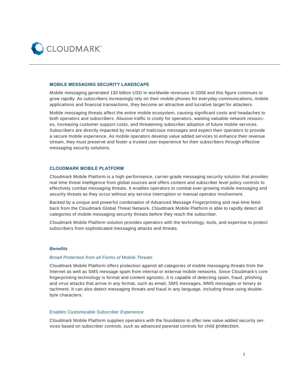

#### **MOBILE MESSAGING SECURITY LANDSCAPE**

Mobile messaging generated 130 billion USD in worldwide revenues in 2008 and this figure continues to grow rapidly. As subscribers increasingly rely on their mobile phones for everyday communications, mobile applications and financial transactions, they become an attractive and lucrative target for attackers.

Mobile messaging threats affect the entire mobile ecosystem, causing significant costs and headaches to both operators and subscribers. Abusive traffic is costly for operators, wasting valuable network resources, increasing customer support costs, and threatening subscriber adoption of future mobile services. Subscribers are directly impacted by receipt of malicious messages and expect their operators to provide a secure mobile experience. As mobile operators develop value added services to enhance their revenue stream, they must preserve and foster a trusted user experience for their subscribers through effective messaging security solutions.

#### **CLOUDMARK MOBILE PLATFORM**

Cloudmark Mobile Platform is a high-performance, carrier-grade messaging security solution that provides real time threat intelligence from global sources and offers content and subscriber level policy controls to effectively combat messaging threats. It enables operators to combat ever-growing mobile messaging and security threats as they occur without any service interruption or manual operator involvement.

Backed by a unique and powerful combination of Advanced Message Fingerprinting and real-time feedback from the Cloudmark Global Threat Network, Cloudmark Mobile Platform is able to rapidly detect all categories of mobile messaging security threats before they reach the subscriber.

Cloudmark Mobile Platform solution provides operators with the technology, tools, and expertise to protect subscribers from sophisticated messaging attacks and threats.

## *Benefi ts*

## *Broad Protection from all Forms of Mobile Threats*

Cloudmark Mobile Platform offers protection against all categories of mobile messaging threats from the Internet as well as SMS message spam from internal or external mobile networks. Since Cloudmark's core fingerprinting technology is format and content agnostic, it is capable of detecting spam, fraud, phishing and virus attacks that arrive in any format, such as email, SMS messages, MMS messages or binary attachment. It can also detect messaging threats and fraud in any language, including those using doublebyte characters.

#### *Enables Customizable Subscriber Experience*

Cloudmark Mobile Platform supplies operators with the foundation to offer new value-added security services based on subscriber controls, such as advanced parental controls for child protection.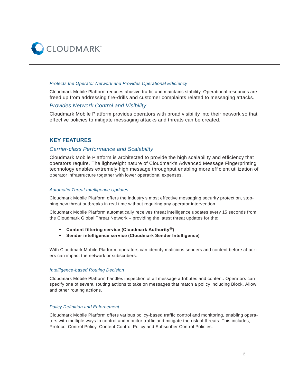

#### **Protects the Operator Network and Provides Operational Efficiency**

Cloudmark Mobile Platform reduces abusive traffic and maintains stability. Operational resources are freed up from addressing fire-drills and customer complaints related to messaging attacks.

## *Provides Network Control and Visibility*

Cloudmark Mobile Platform provides operators with broad visibility into their network so that effective policies to mitigate messaging attacks and threats can be created.

## **KEY FEATURES**

## *Carrier-class Performance and Scalability*

Cloudmark Mobile Platform is architected to provide the high scalability and efficiency that operators require. The lightweight nature of Cloudmark's Advanced Message Fingerprinting technology enables extremely high message throughput enabling more efficient utilization of operator infrastructure together with lower operational expenses.

### *Automatic Threat Intelligence Updates*

Cloudmark Mobile Platform offers the industry's most effective messaging security protection, stopping new threat outbreaks in real time without requiring any operator intervention.

Cloudmark Mobile Platform automatically receives threat intelligence updates every 15 seconds from the Cloudmark Global Threat Network – providing the latest threat updates for the:

- y **Content filtering service (Cloudmark Authority®)**
- **•** Sender intelligence service (Cloudmark Sender Intelligence)

With Cloudmark Mobile Platform, operators can identify malicious senders and content before attackers can impact the network or subscribers.

#### *Intelligence-based Routing Decision*

Cloudmark Mobile Platform handles inspection of all message attributes and content. Operators can specify one of several routing actions to take on messages that match a policy including Block, Allow and other routing actions.

#### **Policy Definition and Enforcement**

Cloudmark Mobile Platform offers various policy-based traffic control and monitoring, enabling operators with multiple ways to control and monitor traffic and mitigate the risk of threats. This includes, Protocol Control Policy, Content Control Policy and Subscriber Control Policies.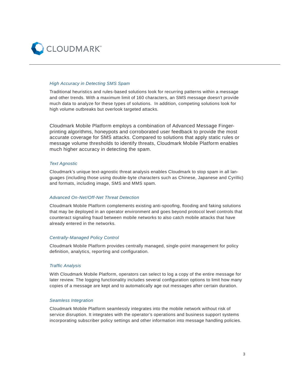

### *High Accuracy in Detecting SMS Spam*

Traditional heuristics and rules-based solutions look for recurring patterns within a message and other trends. With a maximum limit of 160 characters, an SMS message doesn't provide much data to analyze for these types of solutions. In addition, competing solutions look for high volume outbreaks but overlook targeted attacks.

Cloudmark Mobile Platform employs a combination of Advanced Message Fingerprinting algorithms, honeypots and corroborated user feedback to provide the most accurate coverage for SMS attacks. Compared to solutions that apply static rules or message volume thresholds to identify threats, Cloudmark Mobile Platform enables much higher accuracy in detecting the spam.

#### *Text Agnostic*

Cloudmark's unique text-agnostic threat analysis enables Cloudmark to stop spam in all languages (including those using double-byte characters such as Chinese, Japanese and Cyrillic) and formats, including image, SMS and MMS spam.

#### *Advanced On-Net/Off-Net Threat Detection*

Cloudmark Mobile Platform complements existing anti-spoofing, flooding and faking solutions that may be deployed in an operator environment and goes beyond protocol level controls that counteract signaling fraud between mobile networks to also catch mobile attacks that have already entered in the networks.

#### *Centrally-Managed Policy Control*

Cloudmark Mobile Platform provides centrally managed, single-point management for policy definition, analytics, reporting and configuration.

#### *Traffi c Analysis*

With Cloudmark Mobile Platform, operators can select to log a copy of the entire message for later review. The logging functionality includes several configuration options to limit how many copies of a message are kept and to automatically age out messages after certain duration.

#### *Seamless Integration*

Cloudmark Mobile Platform seamlessly integrates into the mobile network without risk of service disruption. It integrates with the operator's operations and business support systems incorporating subscriber policy settings and other information into message handling policies.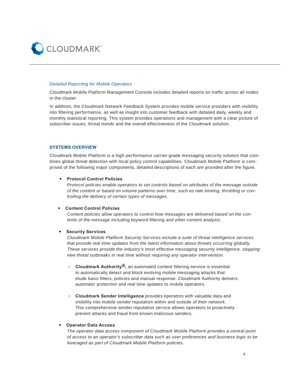

#### *Detailed Reporting for Mobile Operators*

Cloudmark Mobile Platform Management Console includes detailed reports on traffic across all nodes in the cluster.

In addition, the Cloudmark Network Feedback System provides mobile service providers with visibility into filtering performance, as well as insight into customer feedback with detailed daily, weekly and monthly statistical reporting. This system provides operations and management with a clear picture of subscriber issues, threat trends and the overall effectiveness of the Cloudmark solution.

## **SYSTEMS OVERVIEW**

Cloudmark Mobile Platform is a high-performance carrier-grade messaging security solution that combines global threat detection with local policy control capabilities. Cloudmark Mobile Platform is comprised of the following major components, detailed descriptions of each are provided after the figure.

#### **Protocol Control Policies**

*Protocol policies enable operators to set controls based on attributes of the message outside of the content or based on volume patterns over time, such as rate limiting, throttling or controlling the delivery of certain types of messages.* 

#### **• Content Control Policies**

*Content policies allow operators to control how messages are delivered based on the contents of the message including keyword filtering and other content analysis.* 

#### y **Security Services**

*Cloudmark Mobile Platform Security Services include a suite of threat intelligence services that provide real time updates from the latest information about threats occurring globally. These services provide the industry's most effective messaging security intelligence, stopping new threat outbreaks in real time without requiring any operator intervention.*

- **○ Cloudmark Authority®,** an automated content filtering service is essential to automatically detect and block evolving mobile messaging attacks that elude basic filters, policies and manual response. Cloudmark Authority delivers automatic protection and real time updates to mobile operators.
- **○ Cloudmark Sender Intelligence** provides operators with valuable data and visibility into mobile sender reputation within and outside of their network. This comprehensive sender reputation service allows operators to proactively prevent attacks and fraud from known malicious senders.

#### **• Operator Data Access**

*The operator data access component of Cloudmark Mobile Platform provides a central point of access to an operator's subscriber data such as user preferences and business logic to be leveraged as part of Cloudmark Mobile Platform policies.*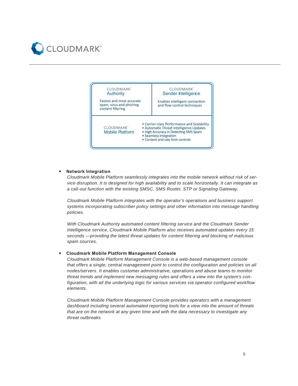



## **Network Integration**

*Cloudmark Mobile Platform seamlessly integrates into the mobile network without risk of service disruption. It is designed for high availability and to scale horizontally. It can integrate as a call-out function with the existing SMSC, SMS Router, STP or Signaling Gateway.* 

*Cloudmark Mobile Platform integrates with the operator's operations and business support systems incorporating subscriber policy settings and other information into message handling policies.* 

*With Cloudmark Authority automated content filtering service and the Cloudmark Sender Intelligence service, Cloudmark Mobile Platform also receives automated updates every 15 seconds —providing the latest threat updates for content filtering and blocking of malicious spam sources.* 

## **Cloudmark Mobile Platform Management Console**

*Cloudmark Mobile Platform Management Console is a web-based management console that offers a single, central management point to control the configuration and policies on all nodes/servers. It enables customer administrative, operations and abuse teams to monitor threat trends and implement new messaging rules and offers a view into the system's configuration, with all the underlying logic for various services via operator configured workflow elements.* 

*Cloudmark Mobile Platform Management Console provides operators with a management dashboard including several automated reporting tools for a view into the amount of threats that are on the network at any given time and with the data necessary to investigate any threat outbreaks.*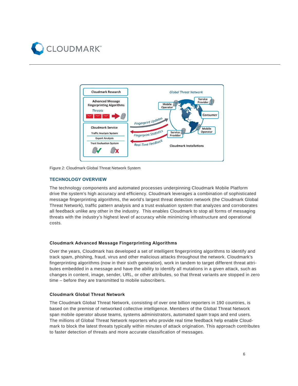



Figure 2: Cloudmark Global Threat Network System

## **TECHNOLOGY OVERVIEW**

The technology components and automated processes underpinning Cloudmark Mobile Platform drive the system's high accuracy and efficiency. Cloudmark leverages a combination of sophisticated message fingerprinting algorithms, the world's largest threat detection network (the Cloudmark Global Threat Network), traffic pattern analysis and a trust evaluation system that analyzes and corroborates all feedback unlike any other in the industry. This enables Cloudmark to stop all forms of messaging threats with the industry's highest level of accuracy while minimizing infrastructure and operational costs.

## **Cloudmark Advanced Message Fingerprinting Algorithms**

Over the years, Cloudmark has developed a set of intelligent fingerprinting algorithms to identify and track spam, phishing, fraud, virus and other malicious attacks throughout the network. Cloudmark's fingerprinting algorithms (now in their sixth generation), work in tandem to target different threat attributes embedded in a message and have the ability to identify all mutations in a given attack, such as changes in content, image, sender, URL, or other attributes, so that threat variants are stopped in zero time – before they are transmitted to mobile subscribers.

## **Cloudmark Global Threat Network**

The Cloudmark Global Threat Network, consisting of over one billion reporters in 190 countries, is based on the premise of networked collective intelligence. Members of the Global Threat Network span mobile operator abuse teams, systems administrators, automated spam traps and end users. The millions of Global Threat Network reporters who provide real time feedback help enable Cloudmark to block the latest threats typically within minutes of attack origination. This approach contributes to faster detection of threats and more accurate classification of messages.